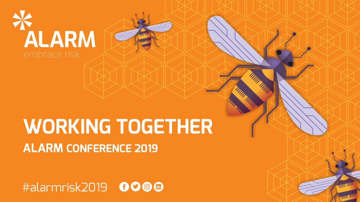

#### **WORKING TOGETHER ALARM CONFERENCE 2019**

#alarmrisk2019 0000

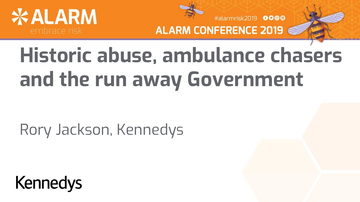



#alarmrisk2019 0000

# **Historic abuse, ambulance chasers and the run away Government**

Rory Jackson, Kennedys

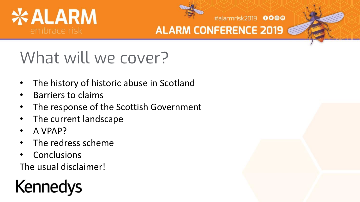



#alarmrisk2019 0000

#### What will we cover?

- The history of historic abuse in Scotland
- Barriers to claims
- The response of the Scottish Government
- The current landscape
- A VPAP?
- The redress scheme
- **Conclusions**

The usual disclaimer!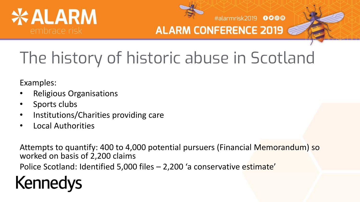



#alarmrisk2019 0000

## The history of historic abuse in Scotland

Examples:

- Religious Organisations
- Sports clubs
- Institutions/Charities providing care
- Local Authorities

Attempts to quantify: 400 to 4,000 potential pursuers (Financial Memorandum) so worked on basis of 2,200 claims

Police Scotland: Identified 5,000 files – 2,200 'a conservative estimate'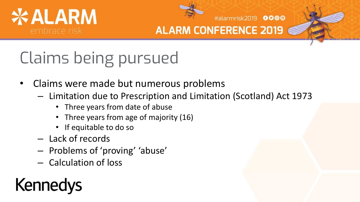



#alarmrisk2019 0000

## Claims being pursued

- Claims were made but numerous problems
	- Limitation due to Prescription and Limitation (Scotland) Act 1973
		- Three years from date of abuse
		- Three years from age of majority (16)
		- If equitable to do so
	- Lack of records
	- Problems of 'proving' 'abuse'
	- Calculation of loss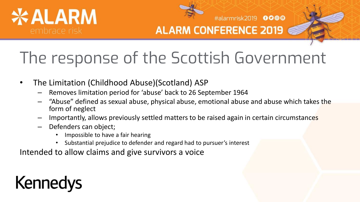



#alarmrisk2019 0000

#### The response of the Scottish Government

- The Limitation (Childhood Abuse)(Scotland) ASP
	- Removes limitation period for 'abuse' back to 26 September 1964
	- "Abuse" defined as sexual abuse, physical abuse, emotional abuse and abuse which takes the form of neglect
	- Importantly, allows previously settled matters to be raised again in certain circumstances
	- Defenders can object;
		- Impossible to have a fair hearing
		- Substantial prejudice to defender and regard had to pursuer's interest

Intended to allow claims and give survivors a voice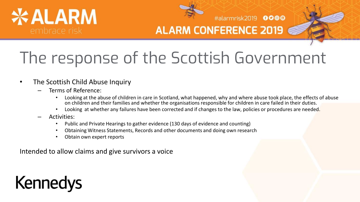



#alarmrisk2019 0000

#### The response of the Scottish Government

- The Scottish Child Abuse Inquiry
	- Terms of Reference:
		- Looking at the abuse of children in care in Scotland, what happened, why and where abuse took place, the effects of abuse on children and their families and whether the organisations responsible for children in care failed in their duties.
		- Looking at whether any failures have been corrected and if changes to the law, policies or procedures are needed.
	- Activities:
		- Public and Private Hearings to gather evidence (130 days of evidence and counting)
		- Obtaining Witness Statements, Records and other documents and doing own research
		- Obtain own expert reports

Intended to allow claims and give survivors a voice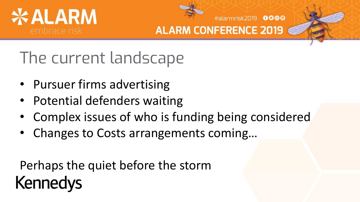



#alarmrisk2019 0000

The current landscape

- Pursuer firms advertising
- Potential defenders waiting
- Complex issues of who is funding being considered
- Changes to Costs arrangements coming…

Perhaps the quiet before the storm **Kennedys**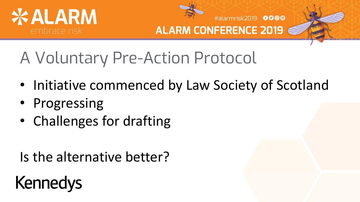



#alarmrisk2019 0000

### A Voluntary Pre-Action Protocol

- Initiative commenced by Law Society of Scotland
- Progressing
- Challenges for drafting

Is the alternative better?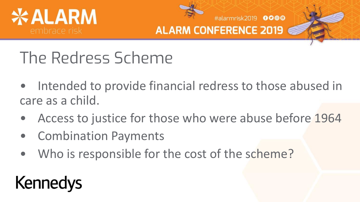



#alarmrisk2019 0000

#### The Redress Scheme

- Intended to provide financial redress to those abused in care as a child.
- Access to justice for those who were abuse before 1964
- Combination Payments
- Who is responsible for the cost of the scheme?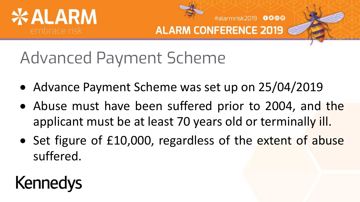



#alarmrisk2019 0000

### Advanced Payment Scheme

- Advance Payment Scheme was set up on 25/04/2019
- Abuse must have been suffered prior to 2004, and the applicant must be at least 70 years old or terminally ill.
- Set figure of £10,000, regardless of the extent of abuse suffered.